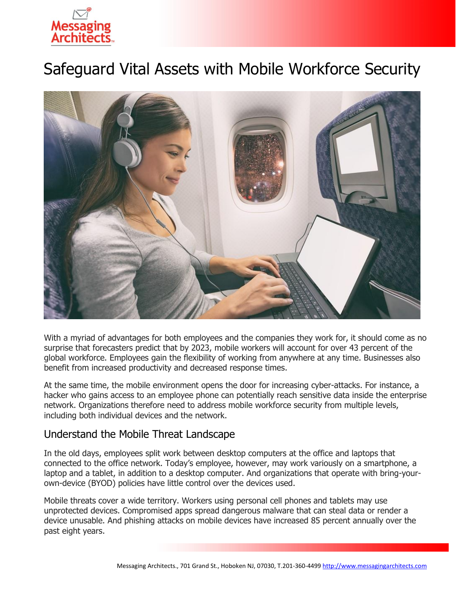

# Safeguard Vital Assets with Mobile Workforce Security



With a myriad of advantages for both employees and the companies they work for, it should come as no surprise that forecasters predict that by 2023, mobile workers will account for over 43 percent of the global workforce. Employees gain the flexibility of working from anywhere at any time. Businesses also benefit from increased productivity and decreased response times.

At the same time, the mobile environment opens the door for increasing cyber-attacks. For instance, a hacker who gains access to an employee phone can potentially reach sensitive data inside the enterprise network. Organizations therefore need to address mobile workforce security from multiple levels, including both individual devices and the network.

#### Understand the Mobile Threat Landscape

In the old days, employees split work between desktop computers at the office and laptops that connected to the office network. Today's employee, however, may work variously on a smartphone, a laptop and a tablet, in addition to a desktop computer. And organizations that operate with bring-yourown-device (BYOD) policies have little control over the devices used.

Mobile threats cover a wide territory. Workers using personal cell phones and tablets may use unprotected devices. Compromised apps spread dangerous malware that can steal data or render a device unusable. And phishing attacks on mobile devices have increased 85 percent annually over the past eight years.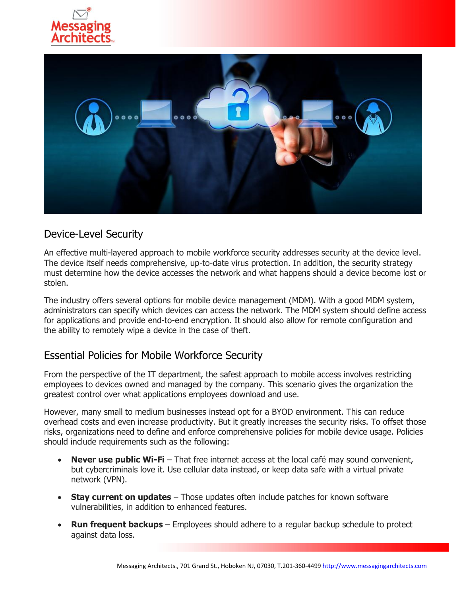



### Device-Level Security

An effective multi-layered approach to mobile workforce security addresses security at the device level. The device itself needs comprehensive, up-to-date virus protection. In addition, the security strategy must determine how the device accesses the network and what happens should a device become lost or stolen.

The industry offers several options for mobile device management (MDM). With a good MDM system, administrators can specify which devices can access the network. The MDM system should define access for applications and provide end-to-end encryption. It should also allow for remote configuration and the ability to remotely wipe a device in the case of theft.

### Essential Policies for Mobile Workforce Security

From the perspective of the IT department, the safest approach to mobile access involves restricting employees to devices owned and managed by the company. This scenario gives the organization the greatest control over what applications employees download and use.

However, many small to medium businesses instead opt for a BYOD environment. This can reduce overhead costs and even increase productivity. But it greatly increases the security risks. To offset those risks, organizations need to define and enforce comprehensive policies for mobile device usage. Policies should include requirements such as the following:

- **Never use public Wi-Fi** That free internet access at the local café may sound convenient, but cybercriminals love it. Use cellular data instead, or keep data safe with a virtual private network (VPN).
- **Stay current on updates** Those updates often include patches for known software vulnerabilities, in addition to enhanced features.
- **Run frequent backups** Employees should adhere to a regular backup schedule to protect against data loss.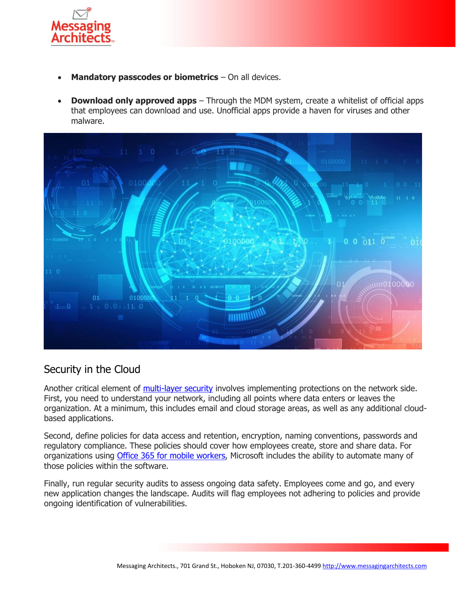

- **Mandatory passcodes or biometrics** On all devices.
- **Download only approved apps** Through the MDM system, create a whitelist of official apps that employees can download and use. Unofficial apps provide a haven for viruses and other malware.



### Security in the Cloud

Another critical element of [multi-layer security](https://messagingarchitects.com/security/) involves implementing protections on the network side. First, you need to understand your network, including all points where data enters or leaves the organization. At a minimum, this includes email and cloud storage areas, as well as any additional cloudbased applications.

Second, define policies for data access and retention, encryption, naming conventions, passwords and regulatory compliance. These policies should cover how employees create, store and share data. For organizations using **Office 365 for mobile workers**, Microsoft includes the ability to automate many of those policies within the software.

Finally, run regular security audits to assess ongoing data safety. Employees come and go, and every new application changes the landscape. Audits will flag employees not adhering to policies and provide ongoing identification of vulnerabilities.